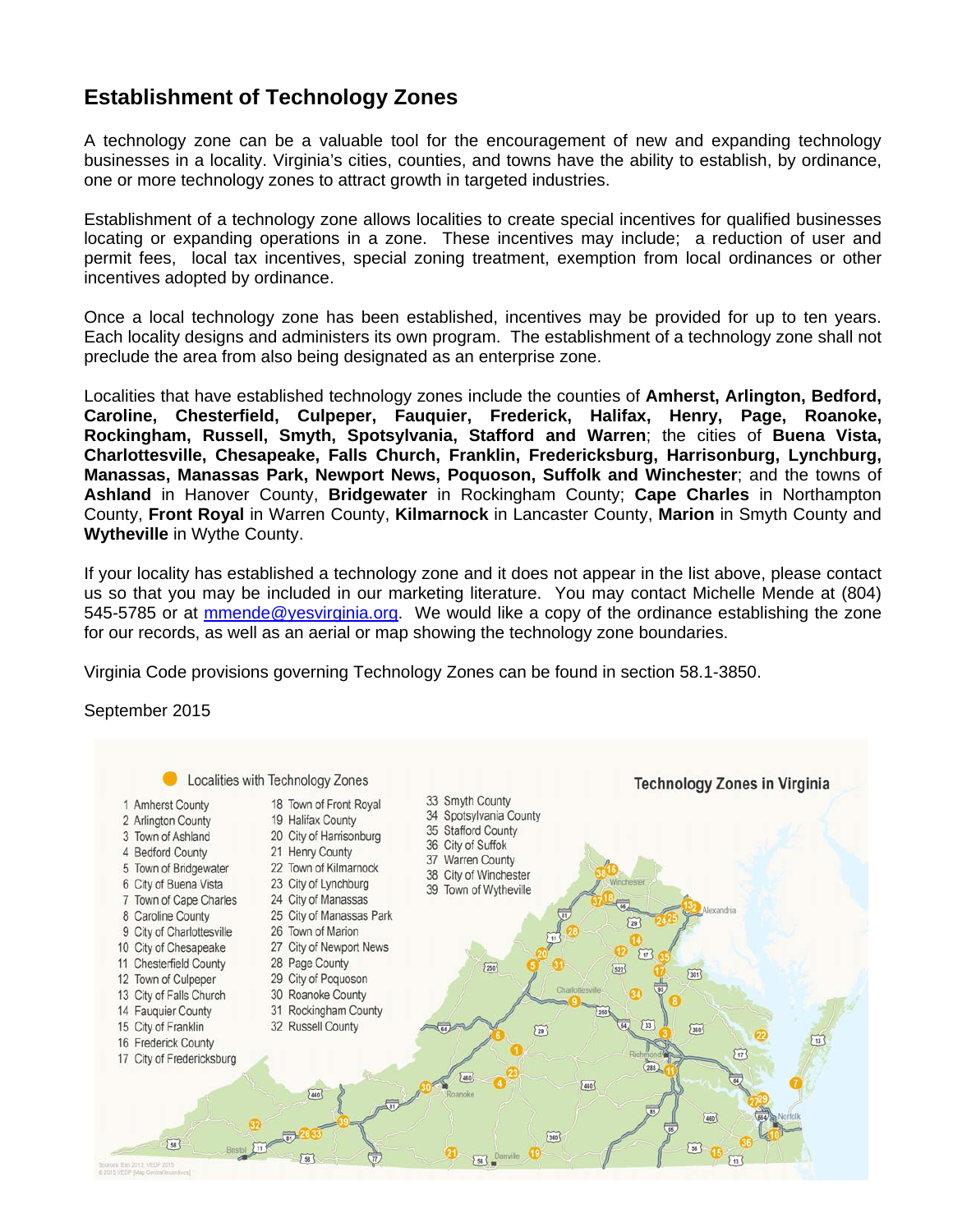## **Establishment of Technology Zones**

A technology zone can be a valuable tool for the encouragement of new and expanding technology businesses in a locality. Virginia's cities, counties, and towns have the ability to establish, by ordinance, one or more technology zones to attract growth in targeted industries.

Establishment of a technology zone allows localities to create special incentives for qualified businesses locating or expanding operations in a zone. These incentives may include; a reduction of user and permit fees, local tax incentives, special zoning treatment, exemption from local ordinances or other incentives adopted by ordinance.

Once a local technology zone has been established, incentives may be provided for up to ten years. Each locality designs and administers its own program. The establishment of a technology zone shall not preclude the area from also being designated as an enterprise zone.

Localities that have established technology zones include the counties of **Amherst, Arlington, Bedford, Caroline, Chesterfield, Culpeper, Fauquier, Frederick, Halifax, Henry, Page, Roanoke, Rockingham, Russell, Smyth, Spotsylvania, Stafford and Warren**; the cities of **Buena Vista, Charlottesville, Chesapeake, Falls Church, Franklin, Fredericksburg, Harrisonburg, Lynchburg, Manassas, Manassas Park, Newport News, Poquoson, Suffolk and Winchester**; and the towns of **Ashland** in Hanover County, **Bridgewater** in Rockingham County; **Cape Charles** in Northampton County, **Front Royal** in Warren County, **Kilmarnock** in Lancaster County, **Marion** in Smyth County and **Wytheville** in Wythe County.

If your locality has established a technology zone and it does not appear in the list above, please contact us so that you may be included in our marketing literature. You may contact Michelle Mende at (804) 545-5785 or at mmende@yesvirginia.org. We would like a copy of the ordinance establishing the zone for our records, as well as an aerial or map showing the technology zone boundaries.

Virginia Code provisions governing Technology Zones can be found in section 58.1-3850.

## September 2015